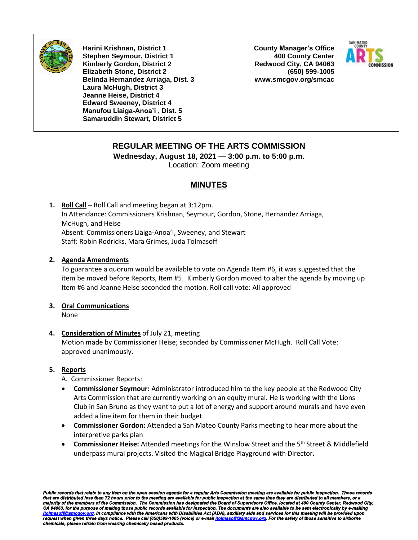

**Harini Krishnan, District 1 Stephen Seymour, District 1 Kimberly Gordon, District 2 Elizabeth Stone, District 2 Belinda Hernandez Arriaga, Dist. 3 Laura McHugh, District 3 Jeanne Heise, District 4 Edward Sweeney, District 4 Manufou Liaiga-Anoa'i , Dist. 5 Samaruddin Stewart, District 5**

**County Manager's Office 400 County Center Redwood City, CA 94063 (650) 599-1005 www.smcgov.org/smcac**



# **REGULAR MEETING OF THE ARTS COMMISSION**

**Wednesday, August 18, 2021 — 3:00 p.m. to 5:00 p.m.**

Location: Zoom meeting

## **MINUTES**

**1. Roll Call** – Roll Call and meeting began at 3:12pm. In Attendance: Commissioners Krishnan, Seymour, Gordon, Stone, Hernandez Arriaga, McHugh, and Heise Absent: Commissioners Liaiga-Anoa'I, Sweeney, and Stewart Staff: Robin Rodricks, Mara Grimes, Juda Tolmasoff

### **2. Agenda Amendments**

To guarantee a quorum would be available to vote on Agenda Item #6, it was suggested that the item be moved before Reports, Item #5. Kimberly Gordon moved to alter the agenda by moving up Item #6 and Jeanne Heise seconded the motion. Roll call vote: All approved

# **3. Oral Communications**

None

## **4. Consideration of Minutes** of July 21, meeting

Motion made by Commissioner Heise; seconded by Commissioner McHugh. Roll Call Vote: approved unanimously.

## **5. Reports**

A. Commissioner Reports:

- **Commissioner Seymour:** Administrator introduced him to the key people at the Redwood City Arts Commission that are currently working on an equity mural. He is working with the Lions Club in San Bruno as they want to put a lot of energy and support around murals and have even added a line item for them in their budget.
- **Commissioner Gordon:** Attended a San Mateo County Parks meeting to hear more about the interpretive parks plan
- **Commissioner Heise:** Attended meetings for the Winslow Street and the 5<sup>th</sup> Street & Middlefield underpass mural projects. Visited the Magical Bridge Playground with Director.

Public records that relate to any item on the open session agenda for a regular Arts Commission meeting are available for public inspection. Those records<br>that are distributed less than 72 hours prior to the meeting are av *request when given three days notice. Please call (650)599-1005 (voice) or e-mai[l jtolmasoff@smcgov.org.](mailto:jtolmasoff@smcgov.org) For the safety of those sensitive to airborne chemicals, please refrain from wearing chemically based products.*